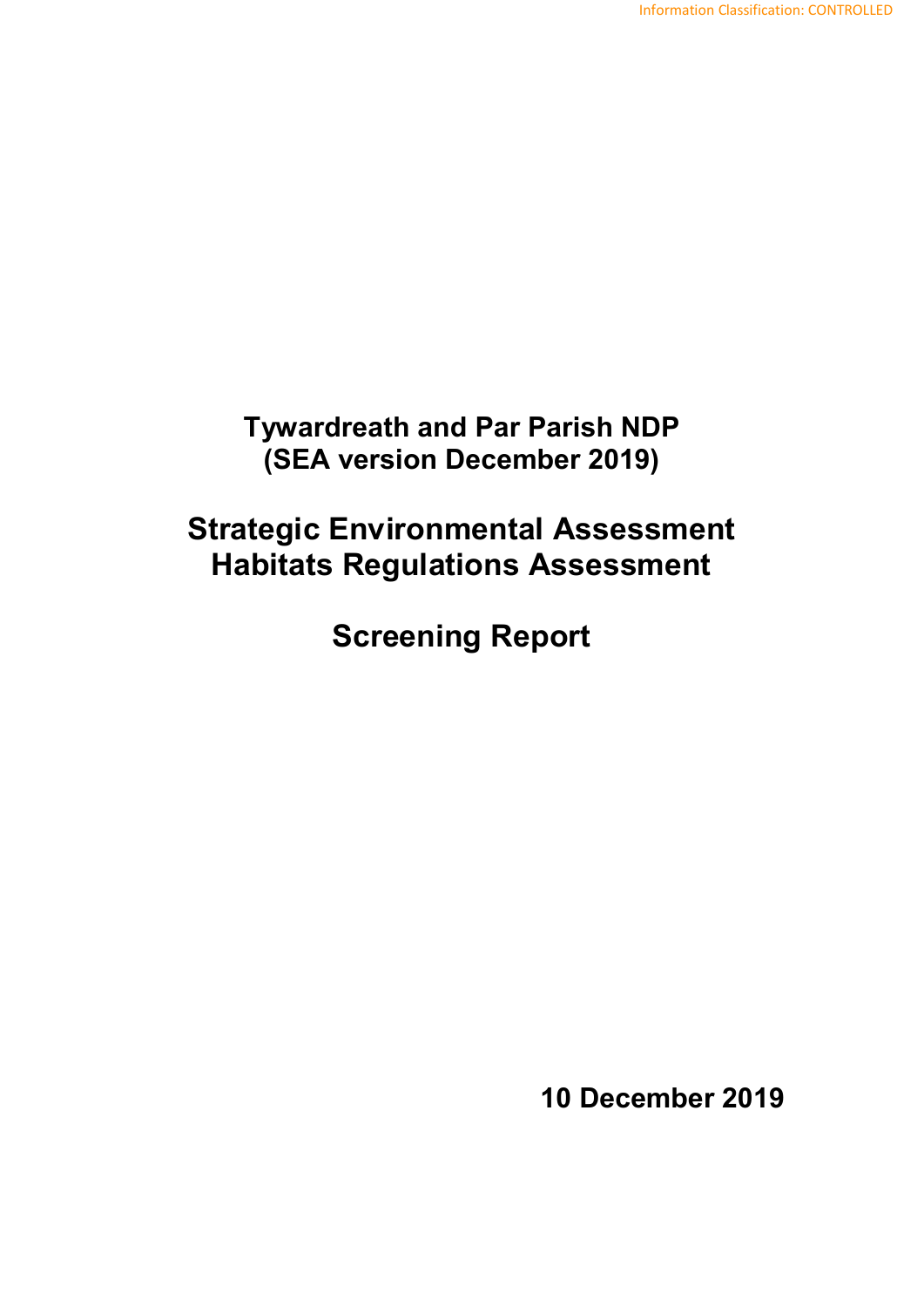**Tywardreath and Par Parish NDP (SEA version December 2019)**

# **Strategic Environmental Assessment Habitats Regulations Assessment**

**Screening Report**

**10 December 2019**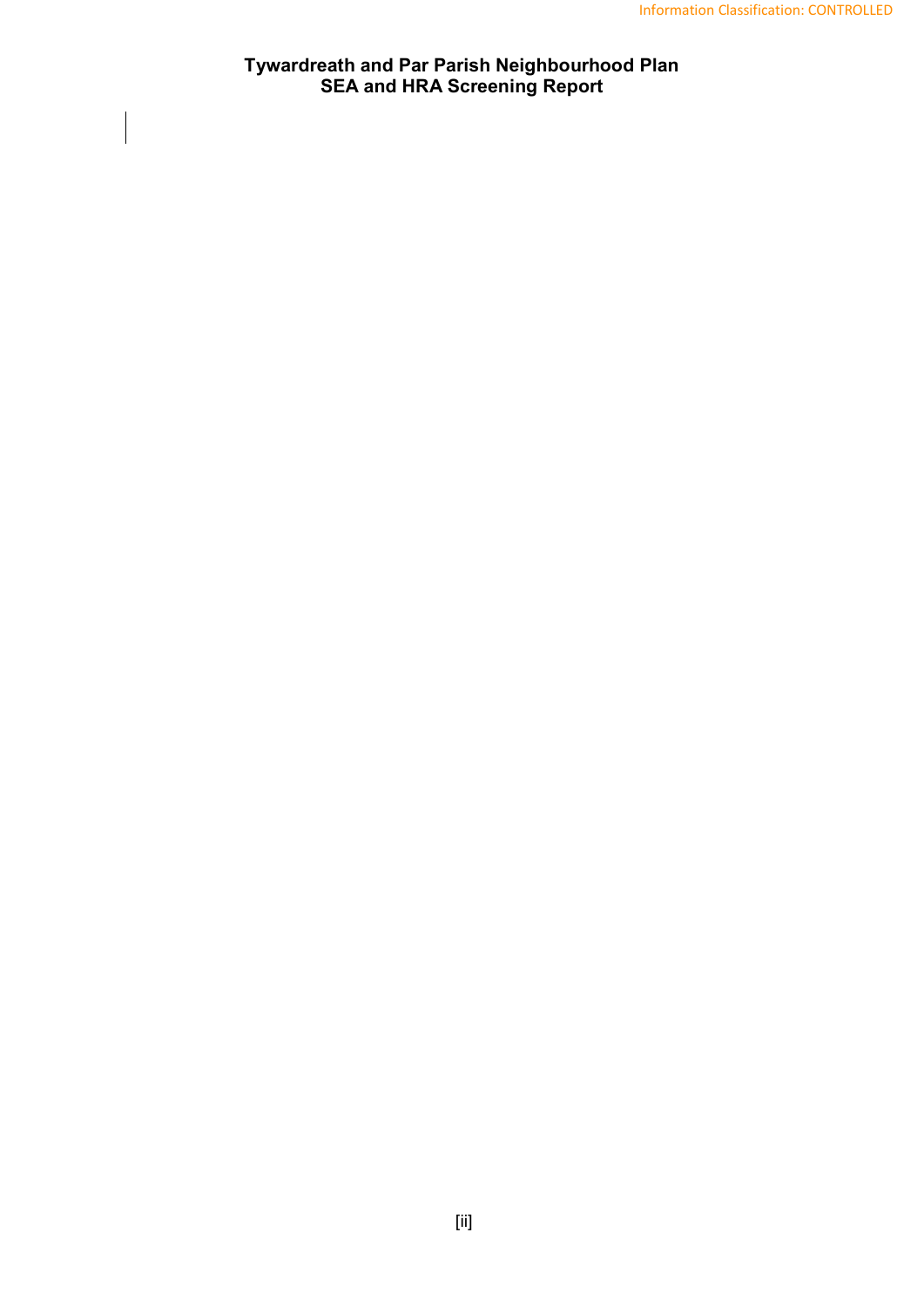## **Tywardreath and Par Parish Neighbourhood Plan SEA and HRA Screening Report**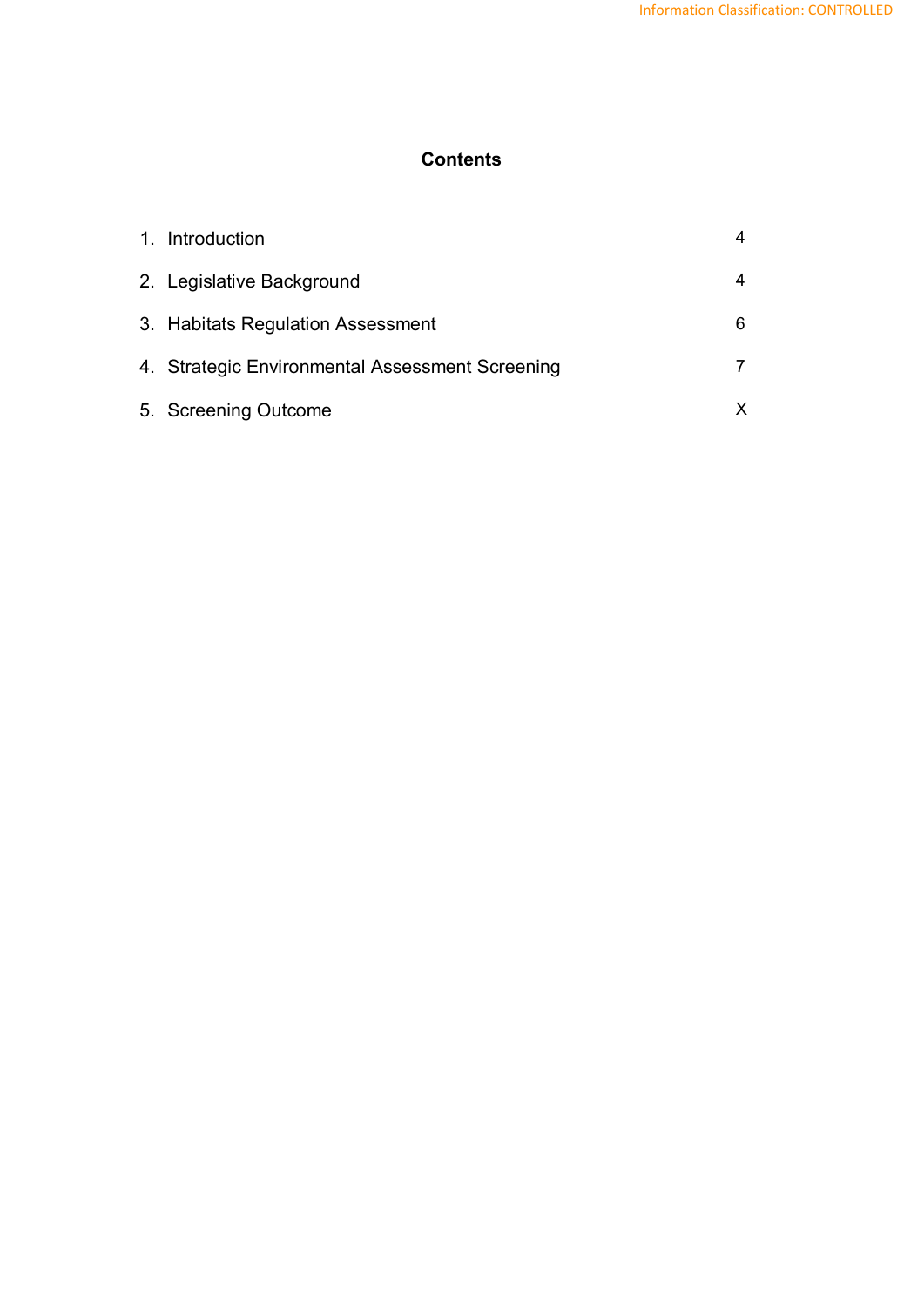## **Contents**

| 1. Introduction                                 |   |
|-------------------------------------------------|---|
| 2. Legislative Background                       |   |
| 3. Habitats Regulation Assessment               | 6 |
| 4. Strategic Environmental Assessment Screening |   |
| 5. Screening Outcome                            |   |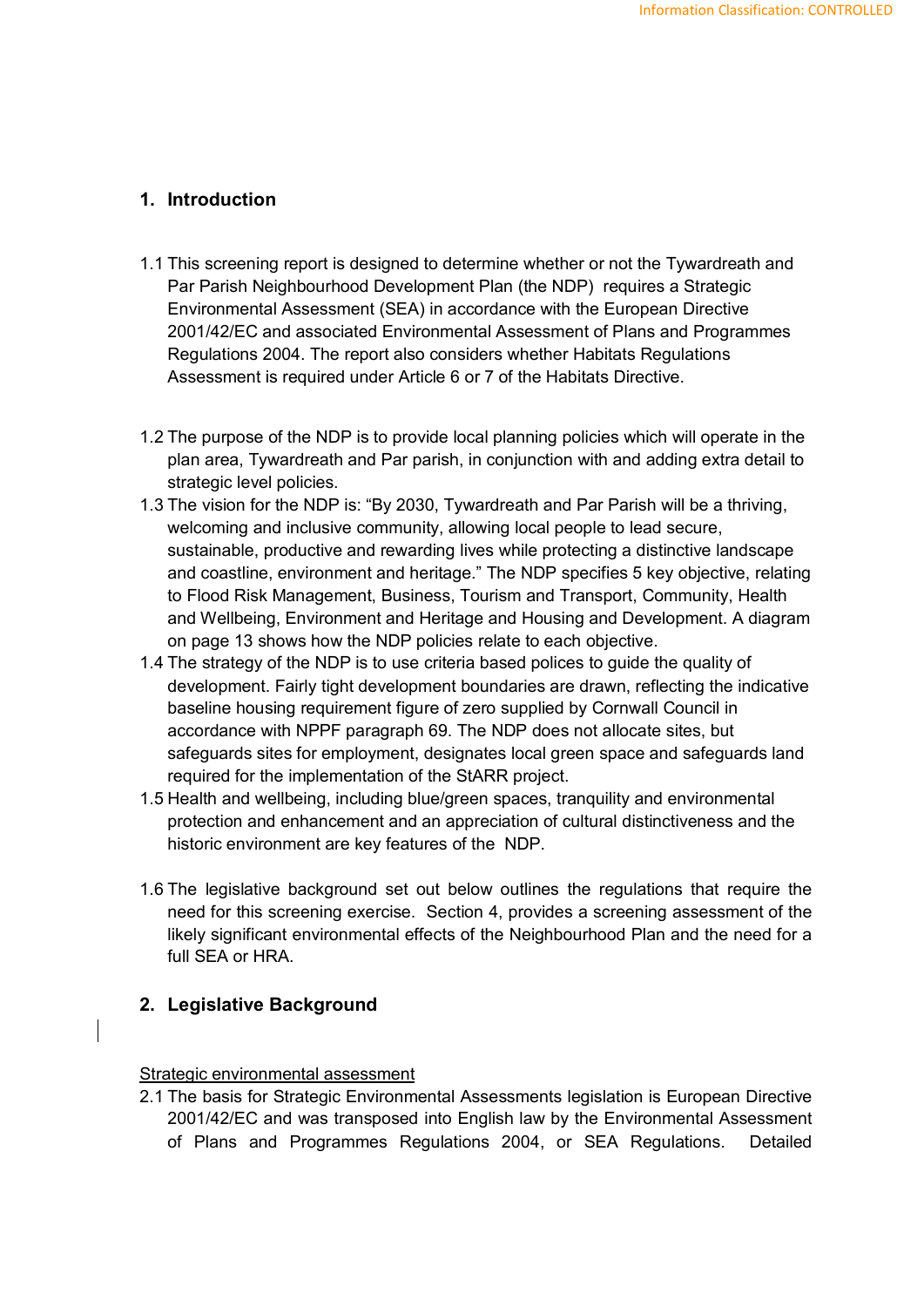## **1. Introduction**

- 1.1 This screening report is designed to determine whether or not the Tywardreath and Par Parish Neighbourhood Development Plan (the NDP) requires a Strategic Environmental Assessment (SEA) in accordance with the European Directive 2001/42/EC and associated Environmental Assessment of Plans and Programmes Regulations 2004. The report also considers whether Habitats Regulations Assessment is required under Article 6 or 7 of the Habitats Directive.
- 1.2 The purpose of the NDP is to provide local planning policies which will operate in the plan area, Tywardreath and Par parish, in conjunction with and adding extra detail to strategic level policies.
- 1.3 The vision for the NDP is: "By 2030, Tywardreath and Par Parish will be a thriving, welcoming and inclusive community, allowing local people to lead secure, sustainable, productive and rewarding lives while protecting a distinctive landscape and coastline, environment and heritage." The NDP specifies 5 key objective, relating to Flood Risk Management, Business, Tourism and Transport, Community, Health and Wellbeing, Environment and Heritage and Housing and Development. A diagram on page 13 shows how the NDP policies relate to each objective.
- 1.4 The strategy of the NDP is to use criteria based polices to guide the quality of development. Fairly tight development boundaries are drawn, reflecting the indicative baseline housing requirement figure of zero supplied by Cornwall Council in accordance with NPPF paragraph 69. The NDP does not allocate sites, but safeguards sites for employment, designates local green space and safeguards land required for the implementation of the StARR project.
- 1.5 Health and wellbeing, including blue/green spaces, tranquility and environmental protection and enhancement and an appreciation of cultural distinctiveness and the historic environment are key features of the NDP.
- 1.6 The legislative background set out below outlines the regulations that require the need for this screening exercise. Section 4, provides a screening assessment of the likely significant environmental effects of the Neighbourhood Plan and the need for a full SEA or HRA.

#### **2. Legislative Background**

#### Strategic environmental assessment

2.1 The basis for Strategic Environmental Assessments legislation is European Directive 2001/42/EC and was transposed into English law by the Environmental Assessment of Plans and Programmes Regulations 2004, or SEA Regulations. Detailed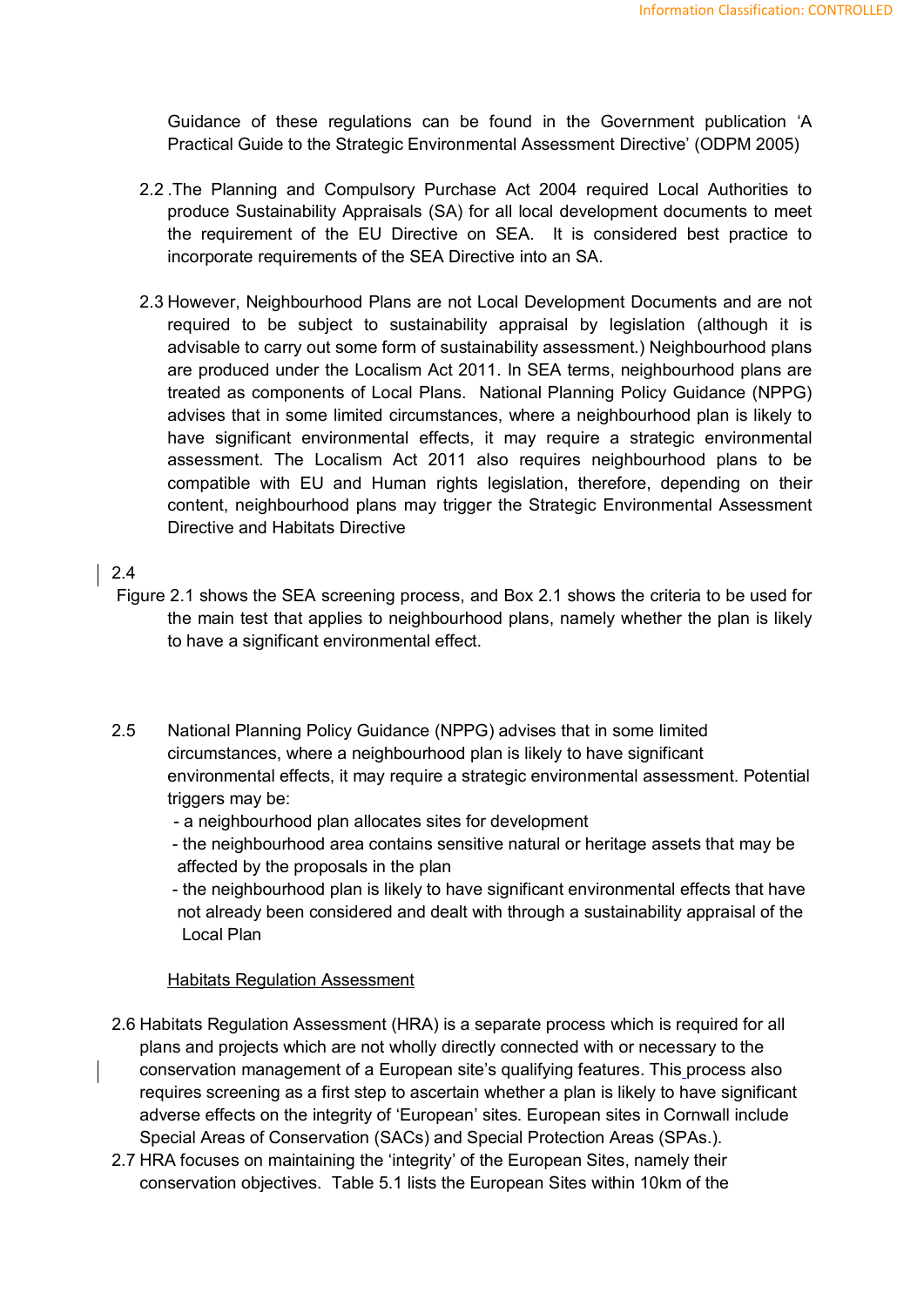Guidance of these regulations can be found in the Government publication 'A Practical Guide to the Strategic Environmental Assessment Directive' (ODPM 2005)

- 2.2 .The Planning and Compulsory Purchase Act 2004 required Local Authorities to produce Sustainability Appraisals (SA) for all local development documents to meet the requirement of the EU Directive on SEA. It is considered best practice to incorporate requirements of the SEA Directive into an SA.
- 2.3 However, Neighbourhood Plans are not Local Development Documents and are not required to be subject to sustainability appraisal by legislation (although it is advisable to carry out some form of sustainability assessment.) Neighbourhood plans are produced under the Localism Act 2011. In SEA terms, neighbourhood plans are treated as components of Local Plans. National Planning Policy Guidance (NPPG) advises that in some limited circumstances, where a neighbourhood plan is likely to have significant environmental effects, it may require a strategic environmental assessment. The Localism Act 2011 also requires neighbourhood plans to be compatible with EU and Human rights legislation, therefore, depending on their content, neighbourhood plans may trigger the Strategic Environmental Assessment Directive and Habitats Directive

## 2.4

- Figure 2.1 shows the SEA screening process, and Box 2.1 shows the criteria to be used for the main test that applies to neighbourhood plans, namely whether the plan is likely to have a significant environmental effect.
- 2.5 National Planning Policy Guidance (NPPG) advises that in some limited circumstances, where a neighbourhood plan is likely to have significant environmental effects, it may require a strategic environmental assessment. Potential triggers may be:
	- a neighbourhood plan allocates sites for development
	- the neighbourhood area contains sensitive natural or heritage assets that may be affected by the proposals in the plan

- the neighbourhood plan is likely to have significant environmental effects that have not already been considered and dealt with through a sustainability appraisal of the Local Plan

#### Habitats Regulation Assessment

- 2.6 Habitats Regulation Assessment (HRA) is a separate process which is required for all plans and projects which are not wholly directly connected with or necessary to the conservation management of a European site's qualifying features. This process also requires screening as a first step to ascertain whether a plan is likely to have significant adverse effects on the integrity of 'European' sites. European sites in Cornwall include Special Areas of Conservation (SACs) and Special Protection Areas (SPAs.).
- 2.7 HRA focuses on maintaining the 'integrity' of the European Sites, namely their conservation objectives. Table 5.1 lists the European Sites within 10km of the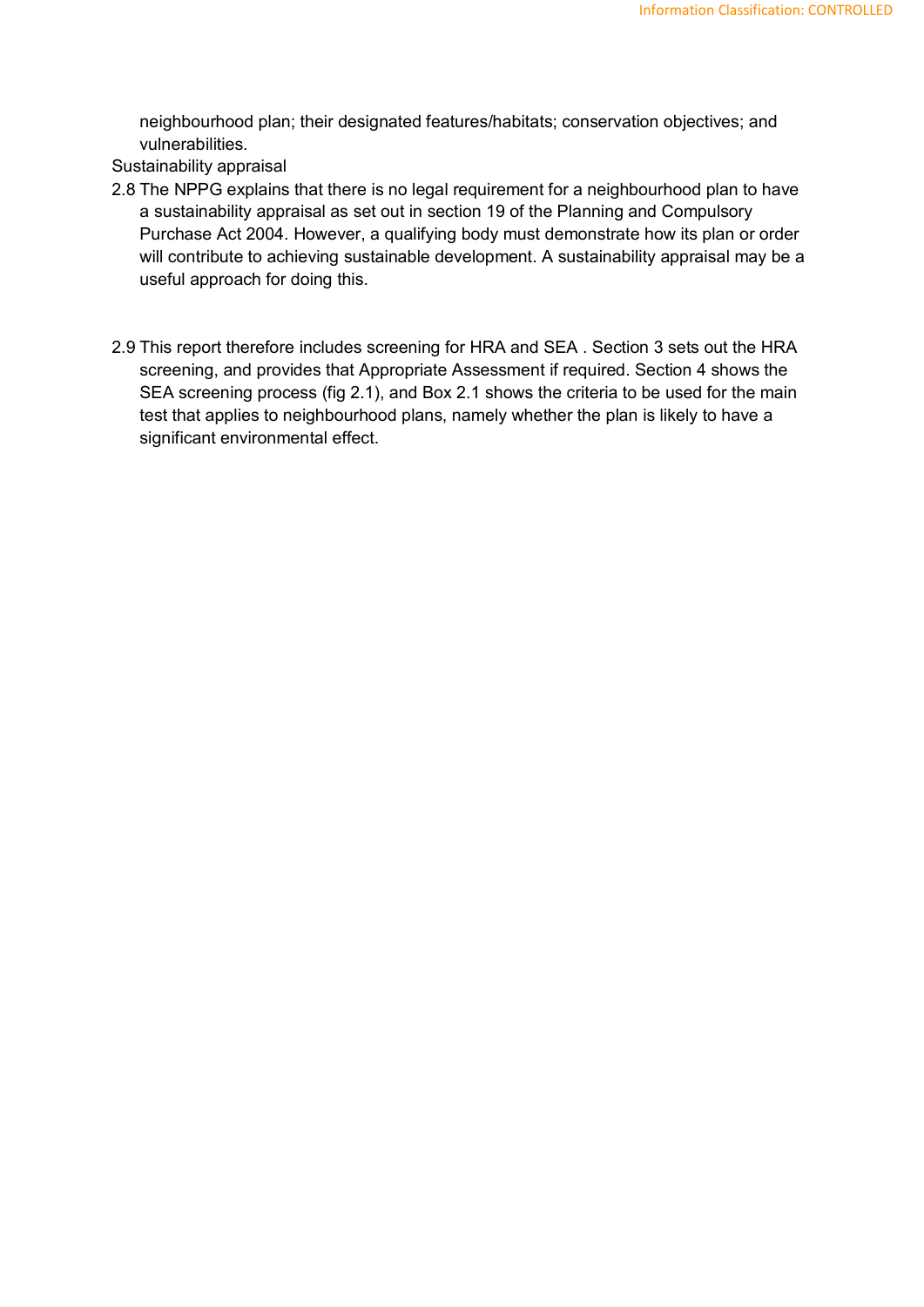neighbourhood plan; their designated features/habitats; conservation objectives; and vulnerabilities.

Sustainability appraisal

- 2.8 The NPPG explains that there is no legal requirement for a neighbourhood plan to have a sustainability appraisal as set out in section 19 of the Planning and Compulsory Purchase Act 2004. However, a qualifying body must demonstrate how its plan or order will contribute to achieving sustainable development. A sustainability appraisal may be a useful approach for doing this.
- 2.9 This report therefore includes screening for HRA and SEA . Section 3 sets out the HRA screening, and provides that Appropriate Assessment if required. Section 4 shows the SEA screening process (fig 2.1), and Box 2.1 shows the criteria to be used for the main test that applies to neighbourhood plans, namely whether the plan is likely to have a significant environmental effect.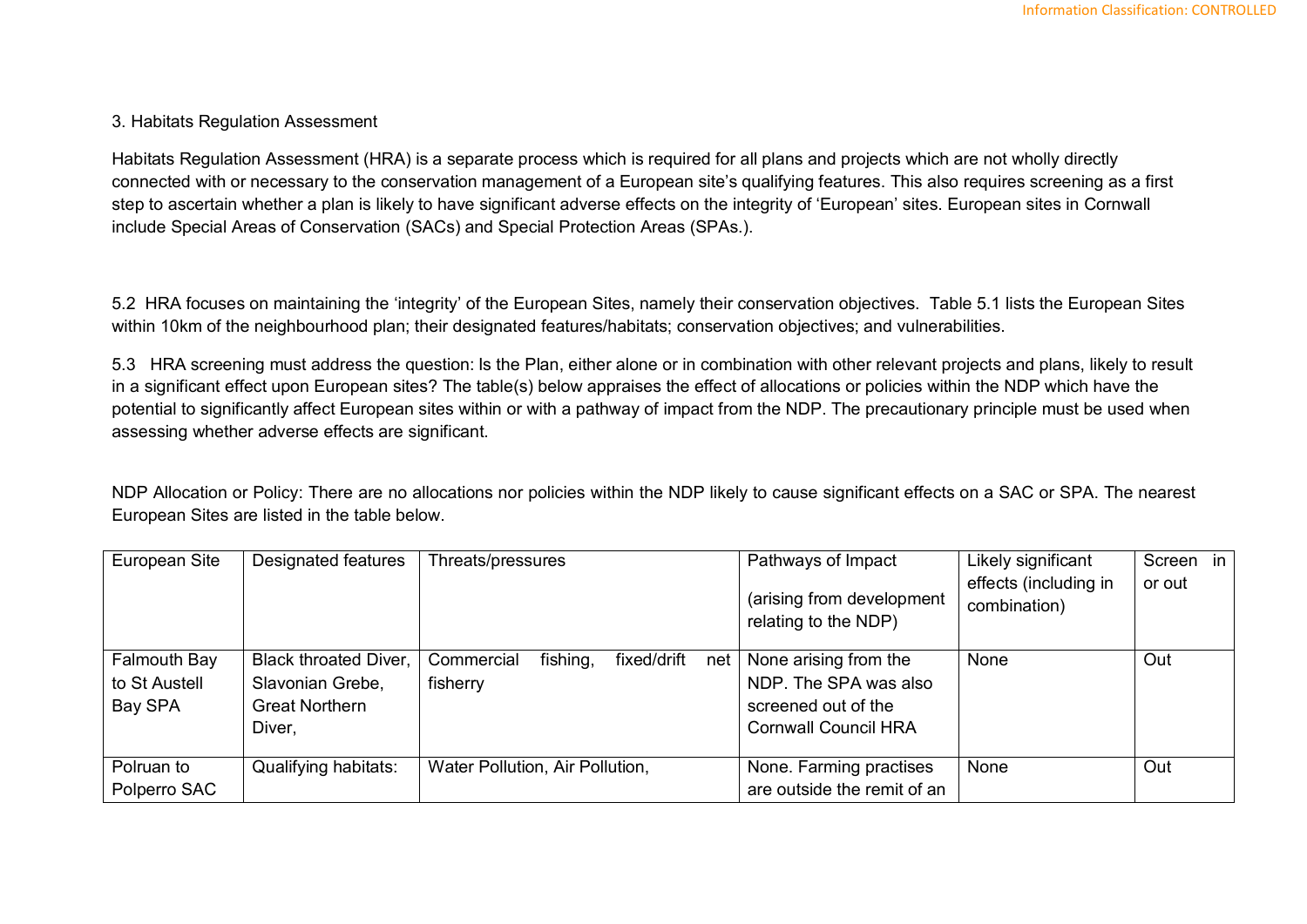#### 3. Habitats Regulation Assessment

Habitats Regulation Assessment (HRA) is a separate process which is required for all plans and projects which are not wholly directly connected with or necessary to the conservation management of a European site's qualifying features. This also requires screening as a first step to ascertain whether a plan is likely to have significant adverse effects on the integrity of 'European' sites. European sites in Cornwall include Special Areas of Conservation (SACs) and Special Protection Areas (SPAs.).

5.2 HRA focuses on maintaining the 'integrity' of the European Sites, namely their conservation objectives. Table 5.1 lists the European Sites within 10km of the neighbourhood plan; their designated features/habitats; conservation objectives; and vulnerabilities.

5.3 HRA screening must address the question: Is the Plan, either alone or in combination with other relevant projects and plans, likely to result in a significant effect upon European sites? The table(s) below appraises the effect of allocations or policies within the NDP which have the potential to significantly affect European sites within or with a pathway of impact from the NDP. The precautionary principle must be used when assessing whether adverse effects are significant.

NDP Allocation or Policy: There are no allocations nor policies within the NDP likely to cause significant effects on a SAC or SPA. The nearest European Sites are listed in the table below.

| European Site | Designated features          | Threats/pressures                            | Pathways of Impact                                | Likely significant                    | in<br>Screen |
|---------------|------------------------------|----------------------------------------------|---------------------------------------------------|---------------------------------------|--------------|
|               |                              |                                              | (arising from development<br>relating to the NDP) | effects (including in<br>combination) | or out       |
| Falmouth Bay  | <b>Black throated Diver,</b> | fishing,<br>fixed/drift<br>Commercial<br>net | None arising from the                             | None                                  | Out          |
| to St Austell | Slavonian Grebe,             | fisherry                                     | NDP. The SPA was also                             |                                       |              |
| Bay SPA       | <b>Great Northern</b>        |                                              | screened out of the                               |                                       |              |
|               | Diver,                       |                                              | <b>Cornwall Council HRA</b>                       |                                       |              |
|               |                              |                                              |                                                   | None                                  | Out          |
| Polruan to    | Qualifying habitats:         | Water Pollution, Air Pollution,              | None. Farming practises                           |                                       |              |
| Polperro SAC  |                              |                                              | are outside the remit of an                       |                                       |              |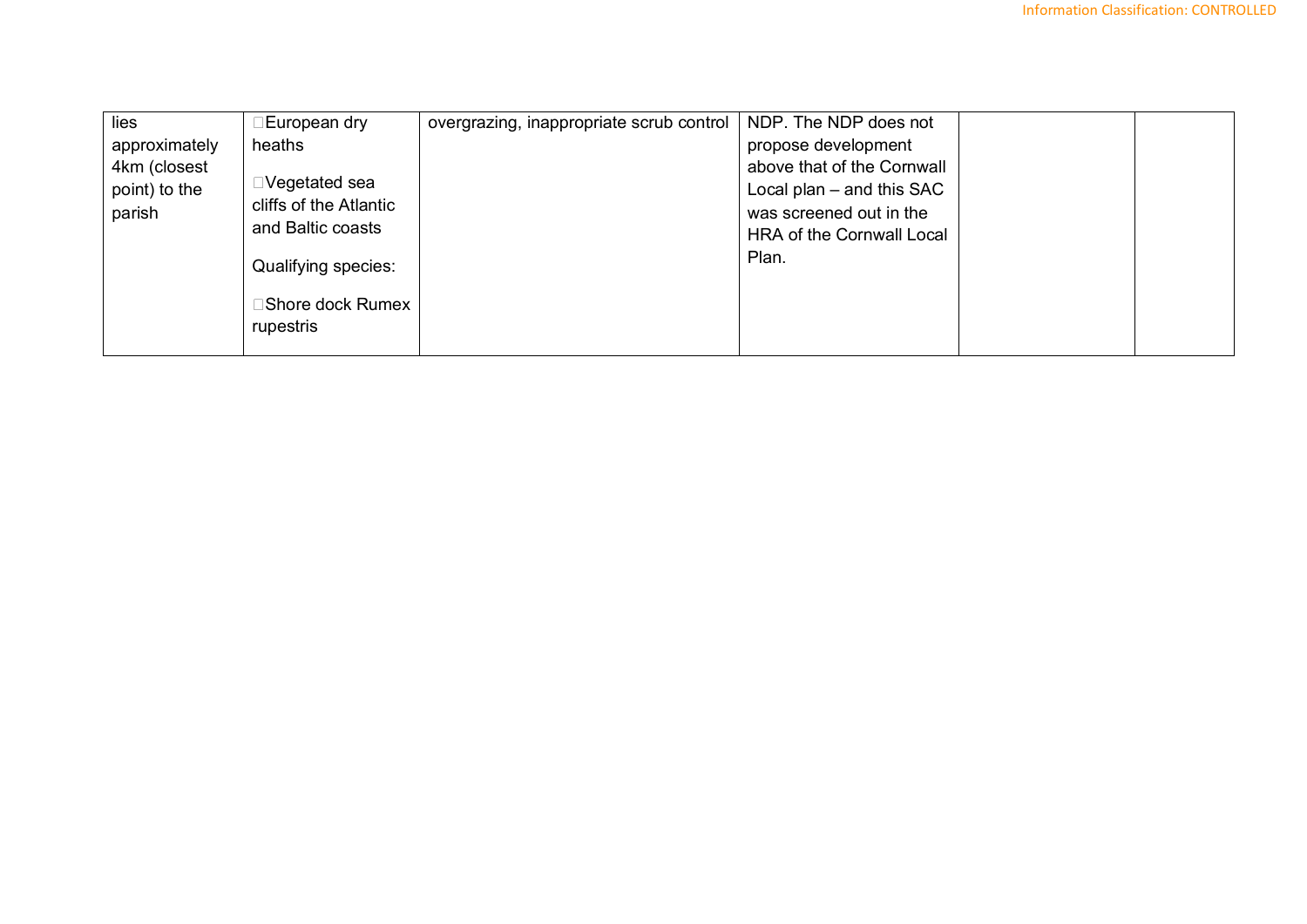| ⊡European dry           | overgrazing, inappropriate scrub control                               | NDP. The NDP does not       |  |
|-------------------------|------------------------------------------------------------------------|-----------------------------|--|
| heaths                  |                                                                        | propose development         |  |
|                         |                                                                        | above that of the Cornwall  |  |
|                         |                                                                        | Local plan $-$ and this SAC |  |
|                         |                                                                        | was screened out in the     |  |
|                         |                                                                        | HRA of the Cornwall Local   |  |
| Qualifying species:     |                                                                        | Plan.                       |  |
| $\Box$ Shore dock Rumex |                                                                        |                             |  |
| rupestris               |                                                                        |                             |  |
|                         | $\square$ Vegetated sea<br>cliffs of the Atlantic<br>and Baltic coasts |                             |  |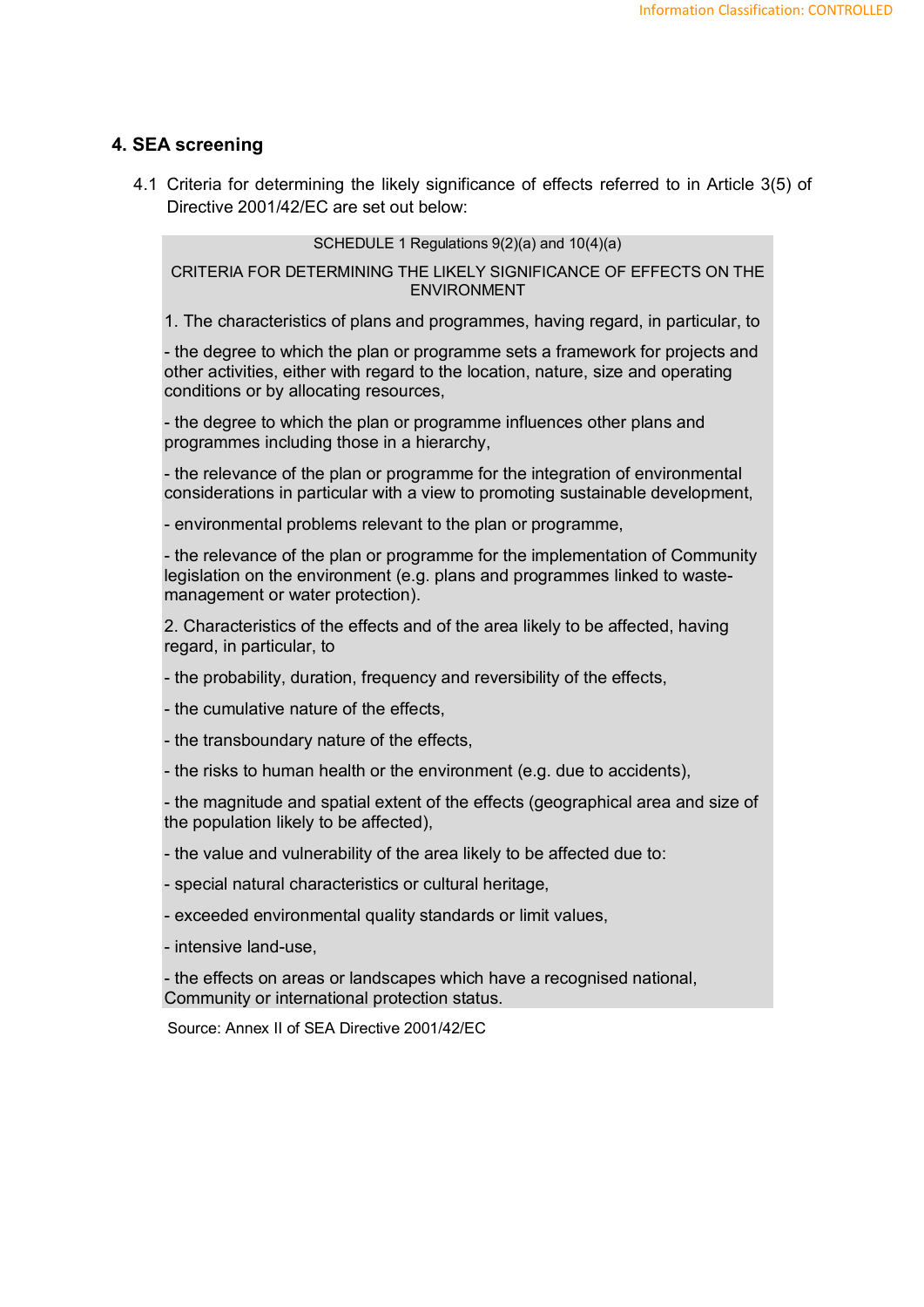#### **4. SEA screening**

4.1 Criteria for determining the likely significance of effects referred to in Article 3(5) of Directive 2001/42/EC are set out below:

SCHEDULE 1 Regulations 9(2)(a) and 10(4)(a)

CRITERIA FOR DETERMINING THE LIKELY SIGNIFICANCE OF EFFECTS ON THE ENVIRONMENT

1. The characteristics of plans and programmes, having regard, in particular, to

- the degree to which the plan or programme sets a framework for projects and other activities, either with regard to the location, nature, size and operating conditions or by allocating resources,

- the degree to which the plan or programme influences other plans and programmes including those in a hierarchy,

- the relevance of the plan or programme for the integration of environmental considerations in particular with a view to promoting sustainable development,

- environmental problems relevant to the plan or programme,

- the relevance of the plan or programme for the implementation of Community legislation on the environment (e.g. plans and programmes linked to wastemanagement or water protection).

2. Characteristics of the effects and of the area likely to be affected, having regard, in particular, to

- the probability, duration, frequency and reversibility of the effects,

- the cumulative nature of the effects,

- the transboundary nature of the effects,

- the risks to human health or the environment (e.g. due to accidents),

- the magnitude and spatial extent of the effects (geographical area and size of the population likely to be affected),

- the value and vulnerability of the area likely to be affected due to:
- special natural characteristics or cultural heritage,
- exceeded environmental quality standards or limit values,
- intensive land-use,

- the effects on areas or landscapes which have a recognised national, Community or international protection status.

Source: Annex II of SEA Directive 2001/42/EC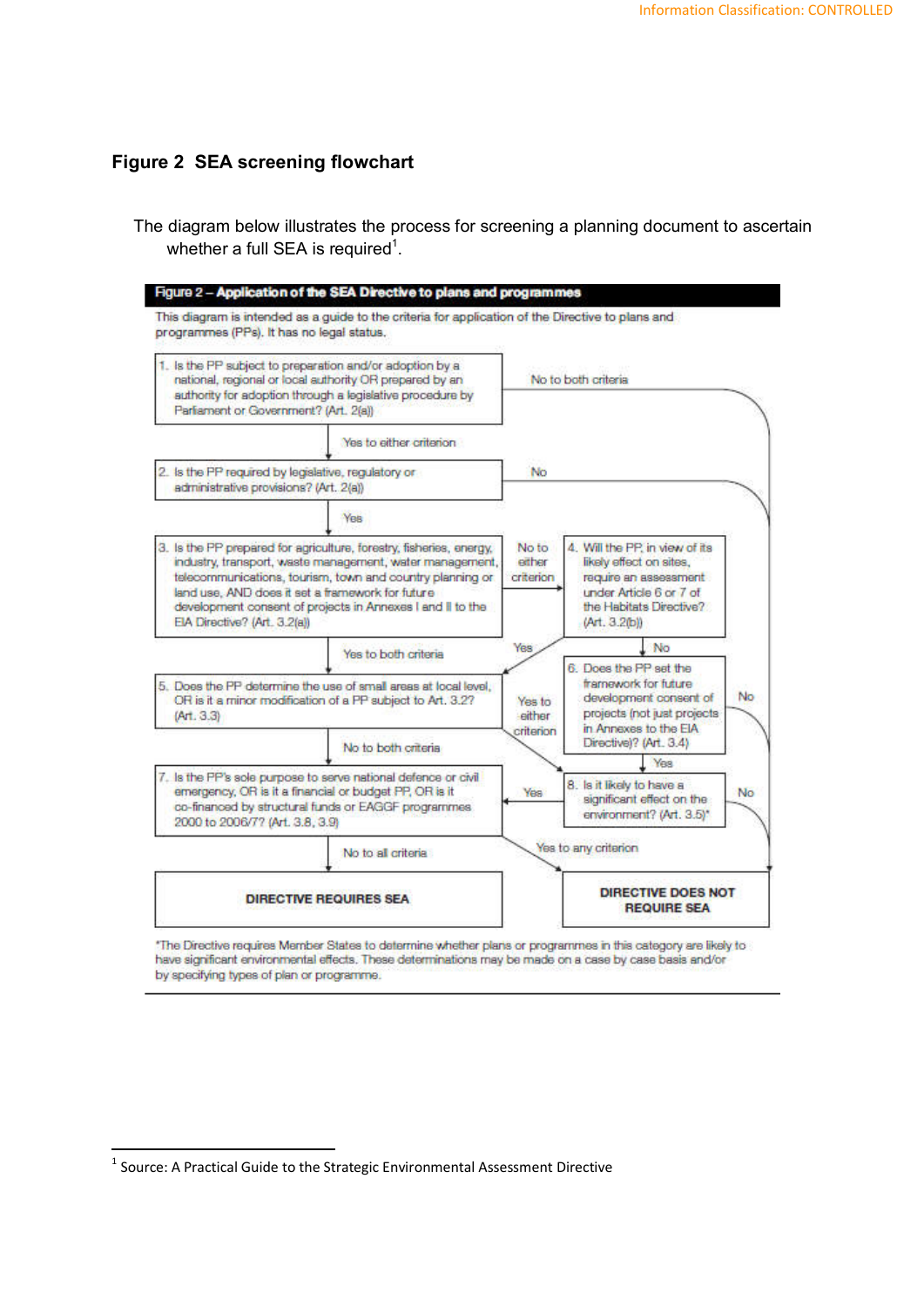## **Figure 2 SEA screening flowchart**

The diagram below illustrates the process for screening a planning document to ascertain whether a full SEA is required $^1$ .

| 1. Is the PP subject to preparation and/or adoption by a<br>national, regional or local authority OR prepared by an<br>suthority for adoption through a legislative procedure by<br>Parliament or Government? (Art. 2(a))                                                                                                                        |                                                                                                                                                                                 |                              | No to both criteria                                                                                                              |                 |
|--------------------------------------------------------------------------------------------------------------------------------------------------------------------------------------------------------------------------------------------------------------------------------------------------------------------------------------------------|---------------------------------------------------------------------------------------------------------------------------------------------------------------------------------|------------------------------|----------------------------------------------------------------------------------------------------------------------------------|-----------------|
|                                                                                                                                                                                                                                                                                                                                                  | Yes to either criterion                                                                                                                                                         |                              |                                                                                                                                  |                 |
| administrative provisions? (Art. 2(a))                                                                                                                                                                                                                                                                                                           | 2. Is the PP required by legislative, regulatory or                                                                                                                             | No                           |                                                                                                                                  |                 |
|                                                                                                                                                                                                                                                                                                                                                  | Yes                                                                                                                                                                             |                              |                                                                                                                                  |                 |
| 3. Is the PP prepared for agriculture, forestry, fisheries, energy,<br>industry, transport, waste management, water management,<br>telecommunications, tourism, town and country planning or<br>land use. AND does it set a framework for future.<br>development consent of projects in Annexes I and II to the<br>EIA Directive? (Art., 3.2(a)) |                                                                                                                                                                                 | No to<br>ether<br>criterion  | 4. Will the PP, in view of its<br>likely effect on sites,<br>require an assessment                                               |                 |
|                                                                                                                                                                                                                                                                                                                                                  |                                                                                                                                                                                 |                              | under Article 6 or 7 of<br>the Habitats Directive?<br>(Art. 3.2(b))                                                              |                 |
|                                                                                                                                                                                                                                                                                                                                                  | Yes to both criteria                                                                                                                                                            | YBS                          | No                                                                                                                               |                 |
| (Ar1.3.3)                                                                                                                                                                                                                                                                                                                                        | 5. Does the PP determine the use of small areas at local level.<br>OR is it a minor modification of a PP subject to Art. 3.2?                                                   | Yes to<br>either<br>critenon | 6. Does the PP set the<br>framework for future<br>development consent of<br>projects (not just projects<br>in Annexes to the EIA |                 |
|                                                                                                                                                                                                                                                                                                                                                  | No to both criteria                                                                                                                                                             |                              | Directive)? (Art. 3.4)<br>Yes,                                                                                                   |                 |
| 2000 to 2006/77 (Art. 3.8, 3.9)                                                                                                                                                                                                                                                                                                                  | 7. Is the PP's sole purpose to serve national defence or civil<br>emergency, OR is it a financial or budget PP, OR is it<br>co-financed by structural funds or EAGGF programmes | Yes.                         | 8. Is it likely to have a<br>significant effect on the<br>environment? (Art. 3.5)*                                               |                 |
|                                                                                                                                                                                                                                                                                                                                                  | No to all criteria                                                                                                                                                              |                              | Yes to any criterion                                                                                                             | No<br><b>No</b> |

\*The Directive requires Member States to determine whether plans or programmes in this category are likely to have significant environmental effects. These determinations may be made on a case by case basis and/or by specifying types of plan or programme.

 <sup>1</sup> Source: A Practical Guide to the Strategic Environmental Assessment Directive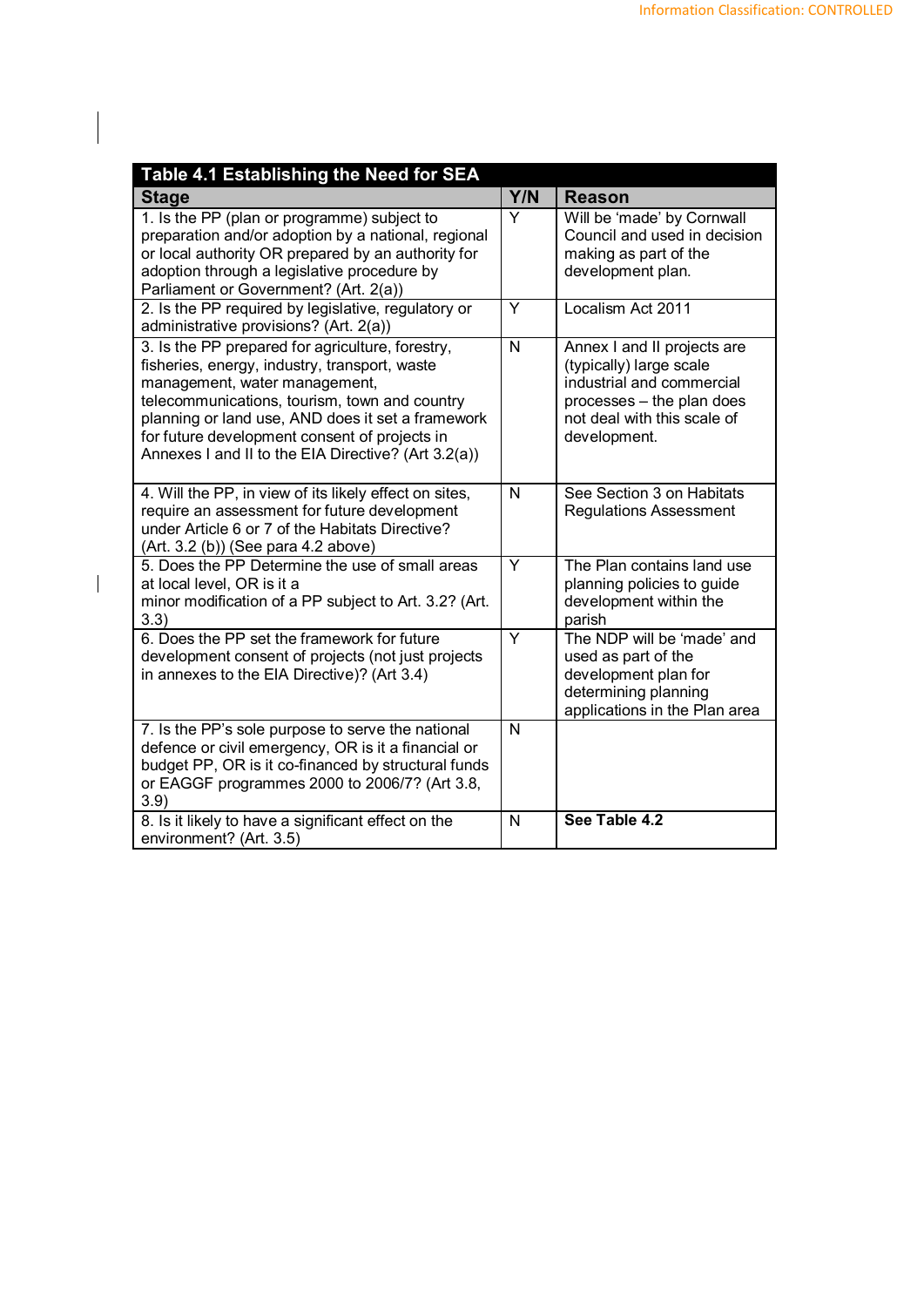| Table 4.1 Establishing the Need for SEA                                                                                                                                                                                                                                                                                                          |                         |                                                                                                                                                                 |
|--------------------------------------------------------------------------------------------------------------------------------------------------------------------------------------------------------------------------------------------------------------------------------------------------------------------------------------------------|-------------------------|-----------------------------------------------------------------------------------------------------------------------------------------------------------------|
| Stage                                                                                                                                                                                                                                                                                                                                            | Y/N                     | <b>Reason</b>                                                                                                                                                   |
| 1. Is the PP (plan or programme) subject to<br>preparation and/or adoption by a national, regional<br>or local authority OR prepared by an authority for<br>adoption through a legislative procedure by<br>Parliament or Government? (Art. 2(a))                                                                                                 | Y                       | Will be 'made' by Cornwall<br>Council and used in decision<br>making as part of the<br>development plan.                                                        |
| 2. Is the PP required by legislative, regulatory or<br>administrative provisions? (Art. 2(a))                                                                                                                                                                                                                                                    | Y                       | Localism Act 2011                                                                                                                                               |
| 3. Is the PP prepared for agriculture, forestry,<br>fisheries, energy, industry, transport, waste<br>management, water management,<br>telecommunications, tourism, town and country<br>planning or land use, AND does it set a framework<br>for future development consent of projects in<br>Annexes I and II to the EIA Directive? (Art 3.2(a)) | N                       | Annex I and II projects are<br>(typically) large scale<br>industrial and commercial<br>processes - the plan does<br>not deal with this scale of<br>development. |
| 4. Will the PP, in view of its likely effect on sites,<br>require an assessment for future development<br>under Article 6 or 7 of the Habitats Directive?<br>(Art. 3.2 (b)) (See para 4.2 above)                                                                                                                                                 | N                       | See Section 3 on Habitats<br><b>Regulations Assessment</b>                                                                                                      |
| 5. Does the PP Determine the use of small areas<br>at local level, OR is it a<br>minor modification of a PP subject to Art. 3.2? (Art.<br>3.3)                                                                                                                                                                                                   | Y                       | The Plan contains land use<br>planning policies to guide<br>development within the<br>parish                                                                    |
| 6. Does the PP set the framework for future<br>development consent of projects (not just projects<br>in annexes to the EIA Directive)? (Art 3.4)                                                                                                                                                                                                 | $\overline{\mathsf{Y}}$ | The NDP will be 'made' and<br>used as part of the<br>development plan for<br>determining planning<br>applications in the Plan area                              |
| 7. Is the PP's sole purpose to serve the national<br>defence or civil emergency, OR is it a financial or<br>budget PP, OR is it co-financed by structural funds<br>or EAGGF programmes 2000 to 2006/7? (Art 3.8,<br>3.9)                                                                                                                         | $\mathsf{N}$            |                                                                                                                                                                 |
| 8. Is it likely to have a significant effect on the<br>environment? (Art. 3.5)                                                                                                                                                                                                                                                                   | N                       | See Table 4.2                                                                                                                                                   |

 $\overline{\phantom{a}}$ 

 $\begin{array}{c} \hline \end{array}$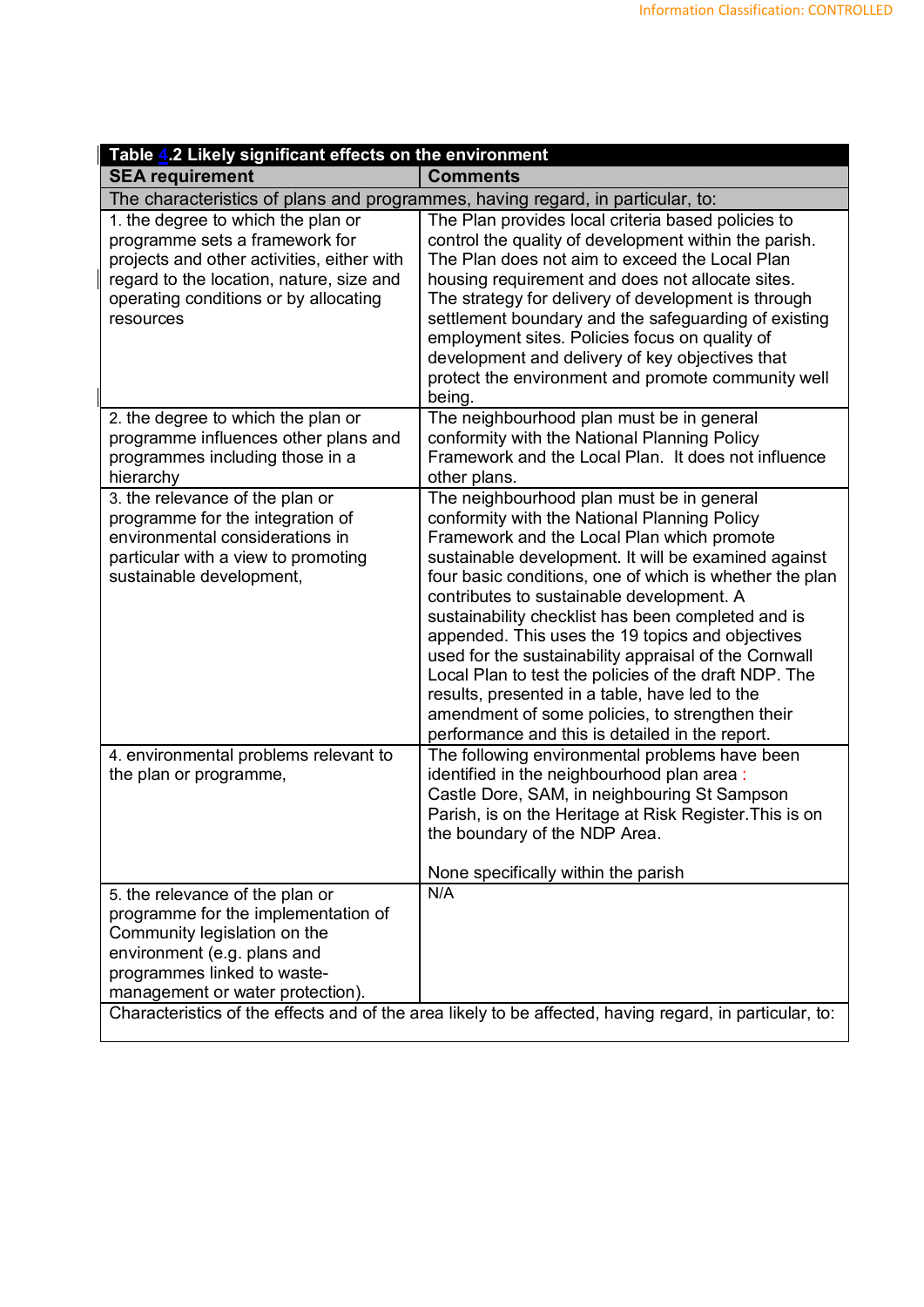| Table 4.2 Likely significant effects on the environment                                                                                                                                                              |                                                                                                                                                                                                                                                                                                                                                                                                                                                                                                                                                                                                                                                                                             |
|----------------------------------------------------------------------------------------------------------------------------------------------------------------------------------------------------------------------|---------------------------------------------------------------------------------------------------------------------------------------------------------------------------------------------------------------------------------------------------------------------------------------------------------------------------------------------------------------------------------------------------------------------------------------------------------------------------------------------------------------------------------------------------------------------------------------------------------------------------------------------------------------------------------------------|
| <b>SEA requirement</b>                                                                                                                                                                                               | <b>Comments</b>                                                                                                                                                                                                                                                                                                                                                                                                                                                                                                                                                                                                                                                                             |
| The characteristics of plans and programmes, having regard, in particular, to:                                                                                                                                       |                                                                                                                                                                                                                                                                                                                                                                                                                                                                                                                                                                                                                                                                                             |
| 1. the degree to which the plan or<br>programme sets a framework for<br>projects and other activities, either with<br>regard to the location, nature, size and<br>operating conditions or by allocating<br>resources | The Plan provides local criteria based policies to<br>control the quality of development within the parish.<br>The Plan does not aim to exceed the Local Plan<br>housing requirement and does not allocate sites.<br>The strategy for delivery of development is through<br>settlement boundary and the safeguarding of existing<br>employment sites. Policies focus on quality of<br>development and delivery of key objectives that<br>protect the environment and promote community well<br>being.                                                                                                                                                                                       |
| 2. the degree to which the plan or<br>programme influences other plans and<br>programmes including those in a<br>hierarchy                                                                                           | The neighbourhood plan must be in general<br>conformity with the National Planning Policy<br>Framework and the Local Plan. It does not influence<br>other plans.                                                                                                                                                                                                                                                                                                                                                                                                                                                                                                                            |
| 3. the relevance of the plan or<br>programme for the integration of<br>environmental considerations in<br>particular with a view to promoting<br>sustainable development,                                            | The neighbourhood plan must be in general<br>conformity with the National Planning Policy<br>Framework and the Local Plan which promote<br>sustainable development. It will be examined against<br>four basic conditions, one of which is whether the plan<br>contributes to sustainable development. A<br>sustainability checklist has been completed and is<br>appended. This uses the 19 topics and objectives<br>used for the sustainability appraisal of the Cornwall<br>Local Plan to test the policies of the draft NDP. The<br>results, presented in a table, have led to the<br>amendment of some policies, to strengthen their<br>performance and this is detailed in the report. |
| 4. environmental problems relevant to<br>the plan or programme,                                                                                                                                                      | The following environmental problems have been<br>identified in the neighbourhood plan area:<br>Castle Dore, SAM, in neighbouring St Sampson<br>Parish, is on the Heritage at Risk Register. This is on<br>the boundary of the NDP Area.<br>None specifically within the parish                                                                                                                                                                                                                                                                                                                                                                                                             |
| 5. the relevance of the plan or<br>programme for the implementation of<br>Community legislation on the<br>environment (e.g. plans and<br>programmes linked to waste-<br>management or water protection).             | N/A<br>Characteristics of the effects and of the area likely to be affected, having regard, in particular, to:                                                                                                                                                                                                                                                                                                                                                                                                                                                                                                                                                                              |
|                                                                                                                                                                                                                      |                                                                                                                                                                                                                                                                                                                                                                                                                                                                                                                                                                                                                                                                                             |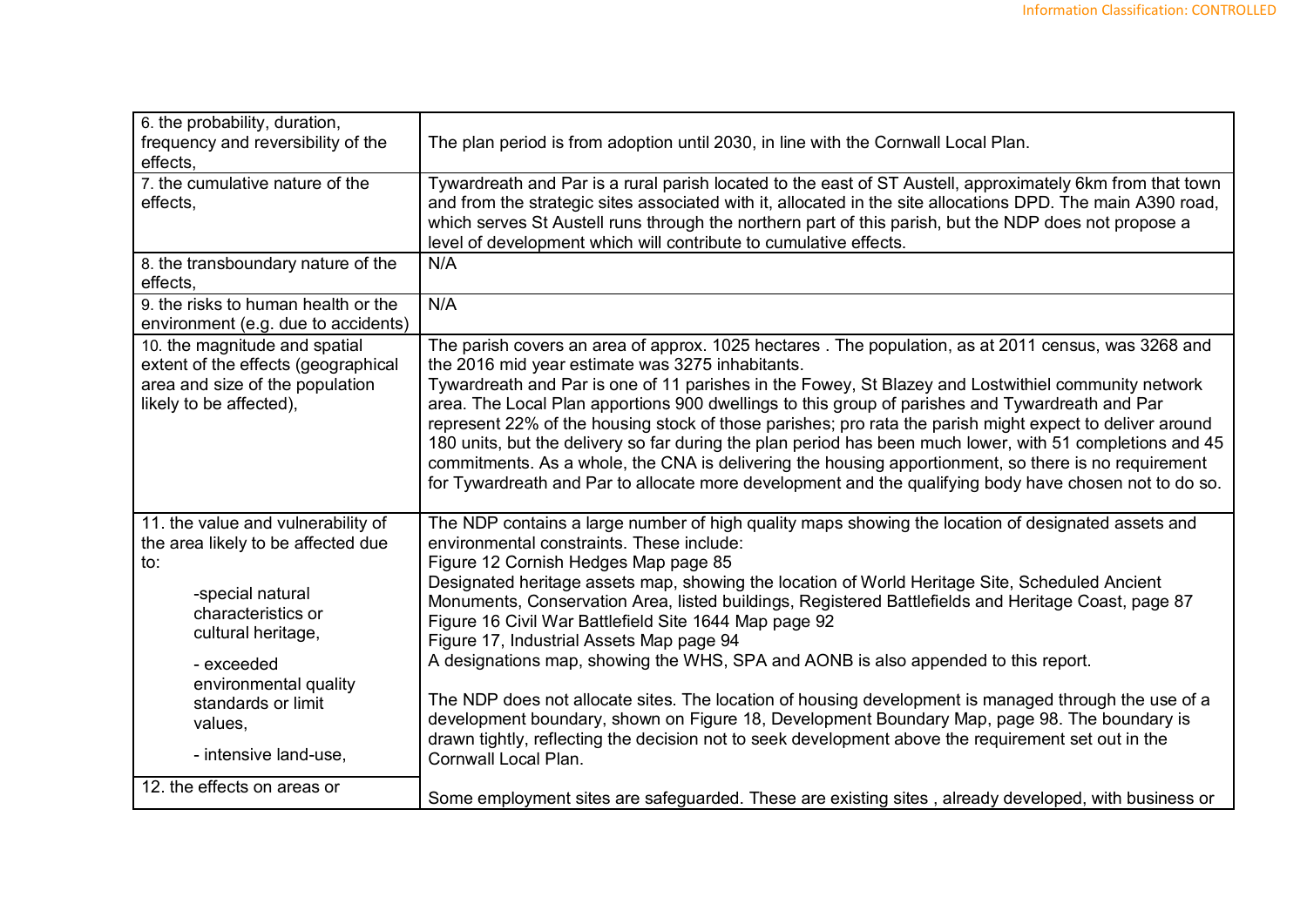| 6. the probability, duration,<br>frequency and reversibility of the<br>effects,                                                    | The plan period is from adoption until 2030, in line with the Cornwall Local Plan.                                                                                                                                                                                                                                                                                                                                                                                                                                                                                                                                                                                                                                                                                                                            |
|------------------------------------------------------------------------------------------------------------------------------------|---------------------------------------------------------------------------------------------------------------------------------------------------------------------------------------------------------------------------------------------------------------------------------------------------------------------------------------------------------------------------------------------------------------------------------------------------------------------------------------------------------------------------------------------------------------------------------------------------------------------------------------------------------------------------------------------------------------------------------------------------------------------------------------------------------------|
| 7. the cumulative nature of the<br>effects,                                                                                        | Tywardreath and Par is a rural parish located to the east of ST Austell, approximately 6km from that town<br>and from the strategic sites associated with it, allocated in the site allocations DPD. The main A390 road,<br>which serves St Austell runs through the northern part of this parish, but the NDP does not propose a<br>level of development which will contribute to cumulative effects.                                                                                                                                                                                                                                                                                                                                                                                                        |
| 8. the transboundary nature of the<br>effects,                                                                                     | N/A                                                                                                                                                                                                                                                                                                                                                                                                                                                                                                                                                                                                                                                                                                                                                                                                           |
| 9. the risks to human health or the<br>environment (e.g. due to accidents)                                                         | N/A                                                                                                                                                                                                                                                                                                                                                                                                                                                                                                                                                                                                                                                                                                                                                                                                           |
| 10. the magnitude and spatial<br>extent of the effects (geographical<br>area and size of the population<br>likely to be affected), | The parish covers an area of approx. 1025 hectares . The population, as at 2011 census, was 3268 and<br>the 2016 mid year estimate was 3275 inhabitants.<br>Tywardreath and Par is one of 11 parishes in the Fowey, St Blazey and Lostwithiel community network<br>area. The Local Plan apportions 900 dwellings to this group of parishes and Tywardreath and Par<br>represent 22% of the housing stock of those parishes; pro rata the parish might expect to deliver around<br>180 units, but the delivery so far during the plan period has been much lower, with 51 completions and 45<br>commitments. As a whole, the CNA is delivering the housing apportionment, so there is no requirement<br>for Tywardreath and Par to allocate more development and the qualifying body have chosen not to do so. |
| 11. the value and vulnerability of<br>the area likely to be affected due<br>to:                                                    | The NDP contains a large number of high quality maps showing the location of designated assets and<br>environmental constraints. These include:<br>Figure 12 Cornish Hedges Map page 85                                                                                                                                                                                                                                                                                                                                                                                                                                                                                                                                                                                                                       |
| -special natural<br>characteristics or<br>cultural heritage,                                                                       | Designated heritage assets map, showing the location of World Heritage Site, Scheduled Ancient<br>Monuments, Conservation Area, listed buildings, Registered Battlefields and Heritage Coast, page 87<br>Figure 16 Civil War Battlefield Site 1644 Map page 92<br>Figure 17, Industrial Assets Map page 94                                                                                                                                                                                                                                                                                                                                                                                                                                                                                                    |
| - exceeded<br>environmental quality<br>standards or limit<br>values,<br>- intensive land-use,                                      | A designations map, showing the WHS, SPA and AONB is also appended to this report.<br>The NDP does not allocate sites. The location of housing development is managed through the use of a<br>development boundary, shown on Figure 18, Development Boundary Map, page 98. The boundary is<br>drawn tightly, reflecting the decision not to seek development above the requirement set out in the<br>Cornwall Local Plan.                                                                                                                                                                                                                                                                                                                                                                                     |
| 12. the effects on areas or                                                                                                        | Some employment sites are safeguarded. These are existing sites, already developed, with business or                                                                                                                                                                                                                                                                                                                                                                                                                                                                                                                                                                                                                                                                                                          |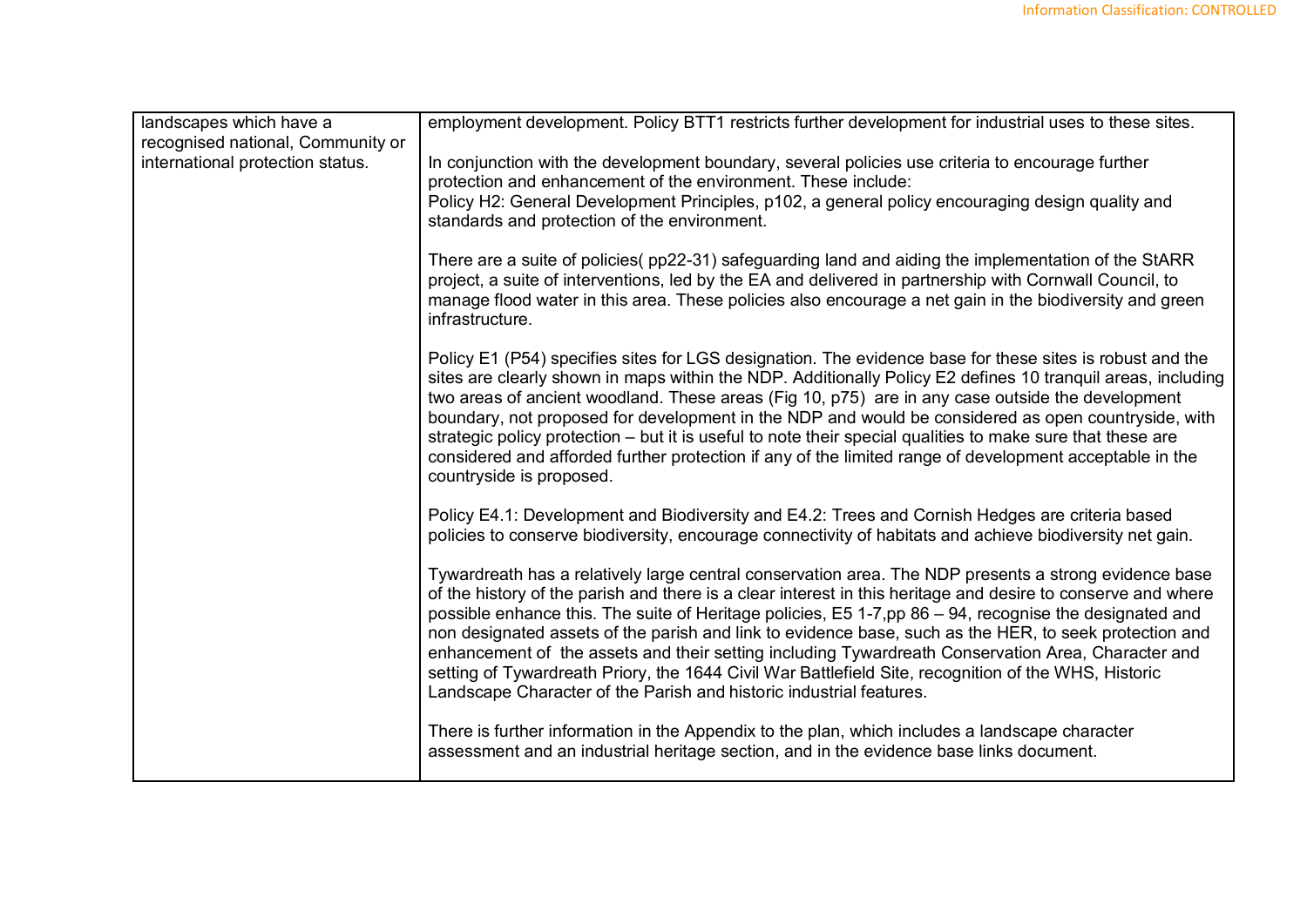| landscapes which have a           | employment development. Policy BTT1 restricts further development for industrial uses to these sites.                                                                                                                                                                                                                                                                                                                                                                                                                                                                                                                                                                                                                          |
|-----------------------------------|--------------------------------------------------------------------------------------------------------------------------------------------------------------------------------------------------------------------------------------------------------------------------------------------------------------------------------------------------------------------------------------------------------------------------------------------------------------------------------------------------------------------------------------------------------------------------------------------------------------------------------------------------------------------------------------------------------------------------------|
| recognised national, Community or |                                                                                                                                                                                                                                                                                                                                                                                                                                                                                                                                                                                                                                                                                                                                |
| international protection status.  | In conjunction with the development boundary, several policies use criteria to encourage further<br>protection and enhancement of the environment. These include:<br>Policy H2: General Development Principles, p102, a general policy encouraging design quality and<br>standards and protection of the environment.                                                                                                                                                                                                                                                                                                                                                                                                          |
|                                   | There are a suite of policies(pp22-31) safeguarding land and aiding the implementation of the StARR<br>project, a suite of interventions, led by the EA and delivered in partnership with Cornwall Council, to<br>manage flood water in this area. These policies also encourage a net gain in the biodiversity and green<br>infrastructure.                                                                                                                                                                                                                                                                                                                                                                                   |
|                                   | Policy E1 (P54) specifies sites for LGS designation. The evidence base for these sites is robust and the<br>sites are clearly shown in maps within the NDP. Additionally Policy E2 defines 10 tranquil areas, including<br>two areas of ancient woodland. These areas (Fig 10, p75) are in any case outside the development<br>boundary, not proposed for development in the NDP and would be considered as open countryside, with<br>strategic policy protection – but it is useful to note their special qualities to make sure that these are<br>considered and afforded further protection if any of the limited range of development acceptable in the<br>countryside is proposed.                                        |
|                                   | Policy E4.1: Development and Biodiversity and E4.2: Trees and Cornish Hedges are criteria based<br>policies to conserve biodiversity, encourage connectivity of habitats and achieve biodiversity net gain.                                                                                                                                                                                                                                                                                                                                                                                                                                                                                                                    |
|                                   | Tywardreath has a relatively large central conservation area. The NDP presents a strong evidence base<br>of the history of the parish and there is a clear interest in this heritage and desire to conserve and where<br>possible enhance this. The suite of Heritage policies, E5 1-7,pp 86 - 94, recognise the designated and<br>non designated assets of the parish and link to evidence base, such as the HER, to seek protection and<br>enhancement of the assets and their setting including Tywardreath Conservation Area, Character and<br>setting of Tywardreath Priory, the 1644 Civil War Battlefield Site, recognition of the WHS, Historic<br>Landscape Character of the Parish and historic industrial features. |
|                                   | There is further information in the Appendix to the plan, which includes a landscape character<br>assessment and an industrial heritage section, and in the evidence base links document.                                                                                                                                                                                                                                                                                                                                                                                                                                                                                                                                      |